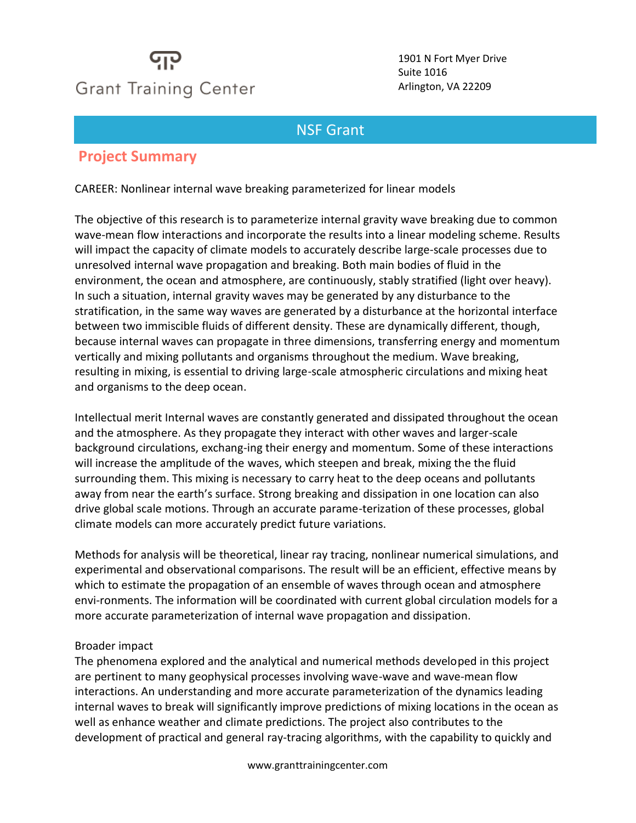# **Grant Training Center**

1901 N Fort Myer Drive Suite 1016 Arlington, VA 22209

### NSF [Grant](file://GTC_SHARED/Office/Directories/US%20General%20Directory%202016/Data/Sample%20Proposals/NYHallofScience2013.pdf%23page=1)

#### **Project Summary**

CAREER: Nonlinear internal wave breaking parameterized for linear models

The objective of this research is to parameterize internal gravity wave breaking due to common wave-mean flow interactions and incorporate the results into a linear modeling scheme. Results will impact the capacity of climate models to accurately describe large-scale processes due to unresolved internal wave propagation and breaking. Both main bodies of fluid in the environment, the ocean and atmosphere, are continuously, stably stratified (light over heavy). In such a situation, internal gravity waves may be generated by any disturbance to the stratification, in the same way waves are generated by a disturbance at the horizontal interface between two immiscible fluids of different density. These are dynamically different, though, because internal waves can propagate in three dimensions, transferring energy and momentum vertically and mixing pollutants and organisms throughout the medium. Wave breaking, resulting in mixing, is essential to driving large-scale atmospheric circulations and mixing heat and organisms to the deep ocean.

Intellectual merit Internal waves are constantly generated and dissipated throughout the ocean and the atmosphere. As they propagate they interact with other waves and larger-scale background circulations, exchang-ing their energy and momentum. Some of these interactions will increase the amplitude of the waves, which steepen and break, mixing the the fluid surrounding them. This mixing is necessary to carry heat to the deep oceans and pollutants away from near the earth's surface. Strong breaking and dissipation in one location can also drive global scale motions. Through an accurate parame-terization of these processes, global climate models can more accurately predict future variations.

Methods for analysis will be theoretical, linear ray tracing, nonlinear numerical simulations, and experimental and observational comparisons. The result will be an efficient, effective means by which to estimate the propagation of an ensemble of waves through ocean and atmosphere envi-ronments. The information will be coordinated with current global circulation models for a more accurate parameterization of internal wave propagation and dissipation.

#### Broader impact

The phenomena explored and the analytical and numerical methods developed in this project are pertinent to many geophysical processes involving wave-wave and wave-mean flow interactions. An understanding and more accurate parameterization of the dynamics leading internal waves to break will significantly improve predictions of mixing locations in the ocean as well as enhance weather and climate predictions. The project also contributes to the development of practical and general ray-tracing algorithms, with the capability to quickly and